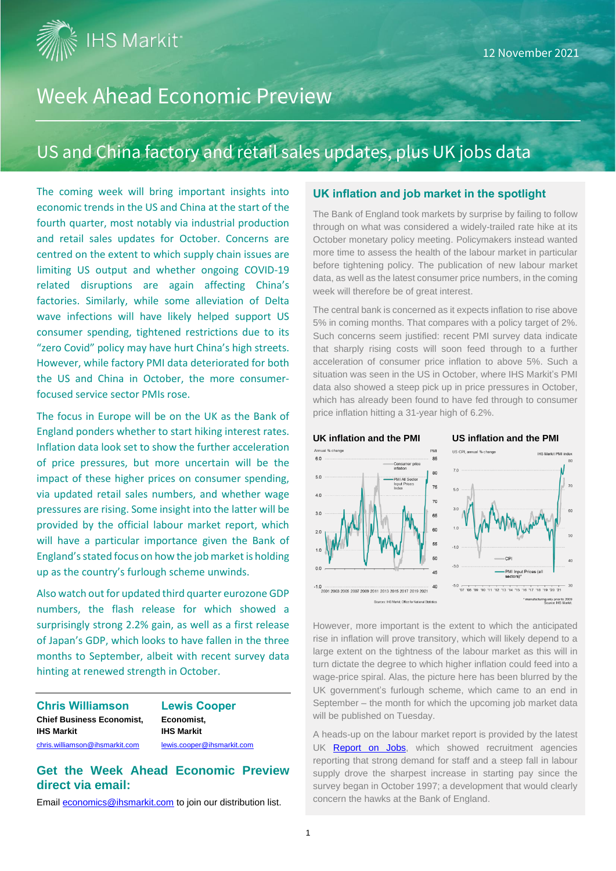**IHS Markit**\*

## Week Ahead Economic Preview

### US and China factory and retail sales updates, plus UK jobs data

The coming week will bring important insights into economic trends in the US and China at the start of the fourth quarter, most notably via industrial production and retail sales updates for October. Concerns are centred on the extent to which supply chain issues are limiting US output and whether ongoing COVID-19 related disruptions are again affecting China's factories. Similarly, while some alleviation of Delta wave infections will have likely helped support US consumer spending, tightened restrictions due to its "zero Covid" policy may have hurt China's high streets. However, while factory PMI data deteriorated for both the US and China in October, the more consumerfocused service sector PMIs rose.

The focus in Europe will be on the UK as the Bank of England ponders whether to start hiking interest rates. Inflation data look set to show the further acceleration of price pressures, but more uncertain will be the impact of these higher prices on consumer spending, via updated retail sales numbers, and whether wage pressures are rising. Some insight into the latter will be provided by the official labour market report, which will have a particular importance given the Bank of England's stated focus on how the job market is holding up as the country's furlough scheme unwinds.

Also watch out for updated third quarter eurozone GDP numbers, the flash release for which showed a surprisingly strong 2.2% gain, as well as a first release of Japan's GDP, which looks to have fallen in the three months to September, albeit with recent survey data hinting at renewed strength in October.

**Chris Williamson Lewis Cooper Chief Business Economist, Economist, IHS Markit IHS Markit** [chris.williamson@ihsmarkit.com](mailto:chris.williamson@ihsmarkit.com) [lewis.cooper@ihsmarkit.com](mailto:lewis.cooper@ihsmarkit.com)

**Get the Week Ahead Economic Preview direct via email:**

Emai[l economics@ihsmarkit.com](mailto:economics@ihsmarkit.com) to join our distribution list.

#### **UK inflation and job market in the spotlight**

The Bank of England took markets by surprise by failing to follow through on what was considered a widely-trailed rate hike at its October monetary policy meeting. Policymakers instead wanted more time to assess the health of the labour market in particular before tightening policy. The publication of new labour market data, as well as the latest consumer price numbers, in the coming week will therefore be of great interest.

The central bank is concerned as it expects inflation to rise above 5% in coming months. That compares with a policy target of 2%. Such concerns seem justified: recent PMI survey data indicate that sharply rising costs will soon feed through to a further acceleration of consumer price inflation to above 5%. Such a situation was seen in the US in October, where IHS Markit's PMI data also showed a steep pick up in price pressures in October, which has already been found to have fed through to consumer price inflation hitting a 31-year high of 6.2%.



However, more important is the extent to which the anticipated rise in inflation will prove transitory, which will likely depend to a large extent on the tightness of the labour market as this will in turn dictate the degree to which higher inflation could feed into a wage-price spiral. Alas, the picture here has been blurred by the UK government's furlough scheme, which came to an end in September – the month for which the upcoming job market data will be published on Tuesday.

A heads-up on the labour market report is provided by the latest UK [Report on Jobs,](https://www.markiteconomics.com/Public/Home/PressRelease/fc125657cc6b4da39bc1ab670e4f10e2) which showed recruitment agencies reporting that strong demand for staff and a steep fall in labour supply drove the sharpest increase in starting pay since the survey began in October 1997; a development that would clearly concern the hawks at the Bank of England.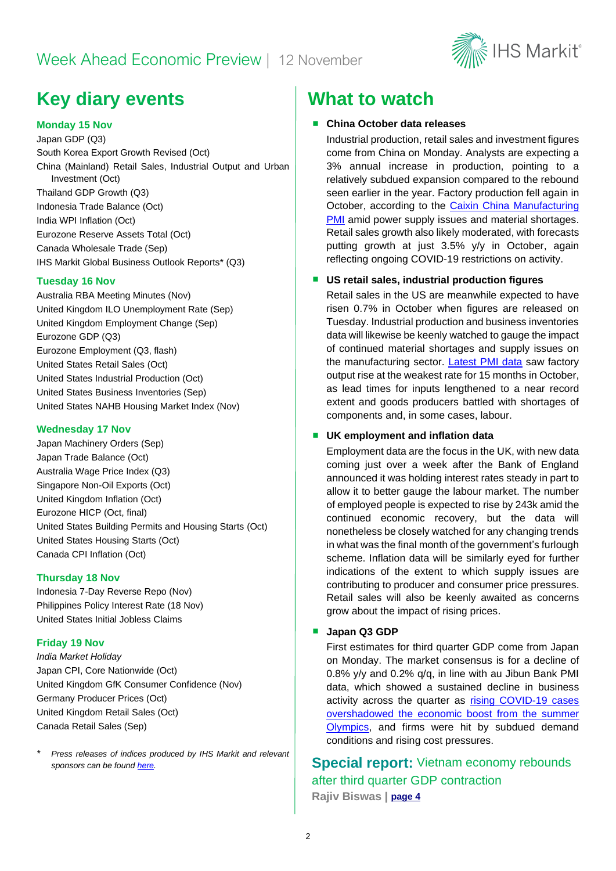### Week Ahead Economic Preview | 12 November



### **Key diary events What to watch**

#### **Monday 15 Nov**

Japan GDP (Q3) South Korea Export Growth Revised (Oct) China (Mainland) Retail Sales, Industrial Output and Urban Investment (Oct) Thailand GDP Growth (Q3) Indonesia Trade Balance (Oct) India WPI Inflation (Oct) Eurozone Reserve Assets Total (Oct) Canada Wholesale Trade (Sep) IHS Markit Global Business Outlook Reports\* (Q3)

#### **Tuesday 16 Nov**

Australia RBA Meeting Minutes (Nov) United Kingdom ILO Unemployment Rate (Sep) United Kingdom Employment Change (Sep) Eurozone GDP (Q3) Eurozone Employment (Q3, flash) United States Retail Sales (Oct) United States Industrial Production (Oct) United States Business Inventories (Sep) United States NAHB Housing Market Index (Nov)

#### **Wednesday 17 Nov**

Japan Machinery Orders (Sep) Japan Trade Balance (Oct) Australia Wage Price Index (Q3) Singapore Non-Oil Exports (Oct) United Kingdom Inflation (Oct) Eurozone HICP (Oct, final) United States Building Permits and Housing Starts (Oct) United States Housing Starts (Oct) Canada CPI Inflation (Oct)

#### **Thursday 18 Nov**

Indonesia 7-Day Reverse Repo (Nov) Philippines Policy Interest Rate (18 Nov) United States Initial Jobless Claims

#### **Friday 19 Nov**

*India Market Holiday* Japan CPI, Core Nationwide (Oct) United Kingdom GfK Consumer Confidence (Nov) Germany Producer Prices (Oct) United Kingdom Retail Sales (Oct) Canada Retail Sales (Sep)

*\* Press releases of indices produced by IHS Markit and relevant sponsors can be found [here.](https://www.markiteconomics.com/Public/Release/PressReleases)*

#### ■ China October data releases

Industrial production, retail sales and investment figures come from China on Monday. Analysts are expecting a 3% annual increase in production, pointing to a relatively subdued expansion compared to the rebound seen earlier in the year. Factory production fell again in October, according to the [Caixin China Manufacturing](https://www.markiteconomics.com/Public/Home/PressRelease/a3a46da8f2854739a02a748b73668a2d)  [PMI](https://www.markiteconomics.com/Public/Home/PressRelease/a3a46da8f2854739a02a748b73668a2d) amid power supply issues and material shortages. Retail sales growth also likely moderated, with forecasts putting growth at just 3.5% y/y in October, again reflecting ongoing COVID-19 restrictions on activity.

#### **US retail sales, industrial production figures**

Retail sales in the US are meanwhile expected to have risen 0.7% in October when figures are released on Tuesday. Industrial production and business inventories data will likewise be keenly watched to gauge the impact of continued material shortages and supply issues on the manufacturing sector. [Latest PMI data](https://www.markiteconomics.com/Public/Home/PressRelease/a8cc4754ce9a40158976a6b47f03e82f) saw factory output rise at the weakest rate for 15 months in October, as lead times for inputs lengthened to a near record extent and goods producers battled with shortages of components and, in some cases, labour.

#### ■ **UK employment and inflation data**

Employment data are the focus in the UK, with new data coming just over a week after the Bank of England announced it was holding interest rates steady in part to allow it to better gauge the labour market. The number of employed people is expected to rise by 243k amid the continued economic recovery, but the data will nonetheless be closely watched for any changing trends in what was the final month of the government's furlough scheme. Inflation data will be similarly eyed for further indications of the extent to which supply issues are contributing to producer and consumer price pressures. Retail sales will also be keenly awaited as concerns grow about the impact of rising prices.

#### ■ Japan Q3 GDP

First estimates for third quarter GDP come from Japan on Monday. The market consensus is for a decline of 0.8% y/y and 0.2% q/q, in line with au Jibun Bank PMI data, which showed a sustained decline in business activity across the quarter as [rising COVID-19 cases](https://ihsmarkit.com/research-analysis/rising-covid19-cases-and-supply-chain-disruptions-overshadow-olympic-games-boost-Sep21.html)  [overshadowed the economic boost from the summer](https://ihsmarkit.com/research-analysis/rising-covid19-cases-and-supply-chain-disruptions-overshadow-olympic-games-boost-Sep21.html)  [Olympics,](https://ihsmarkit.com/research-analysis/rising-covid19-cases-and-supply-chain-disruptions-overshadow-olympic-games-boost-Sep21.html) and firms were hit by subdued demand conditions and rising cost pressures.

**Special report:** Vietnam economy rebounds after third quarter GDP contraction **Rajiv Biswas | [page 4](#page-3-0)**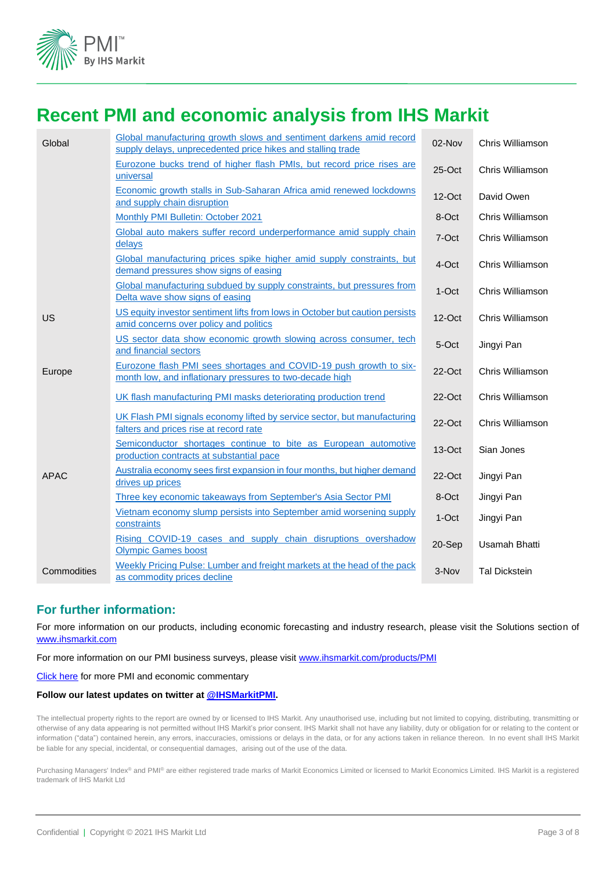

### **Recent PMI and economic analysis from IHS Markit**

| Global      | Global manufacturing growth slows and sentiment darkens amid record<br>supply delays, unprecedented price hikes and stalling trade | 02-Nov    | Chris Williamson     |
|-------------|------------------------------------------------------------------------------------------------------------------------------------|-----------|----------------------|
|             | Eurozone bucks trend of higher flash PMIs, but record price rises are<br>universal                                                 | 25-Oct    | Chris Williamson     |
|             | Economic growth stalls in Sub-Saharan Africa amid renewed lockdowns<br>and supply chain disruption                                 | $12$ -Oct | David Owen           |
|             | Monthly PMI Bulletin: October 2021                                                                                                 | 8-Oct     | Chris Williamson     |
|             | Global auto makers suffer record underperformance amid supply chain<br>delays                                                      | 7-Oct     | Chris Williamson     |
|             | Global manufacturing prices spike higher amid supply constraints, but<br>demand pressures show signs of easing                     | 4-Oct     | Chris Williamson     |
|             | Global manufacturing subdued by supply constraints, but pressures from<br>Delta wave show signs of easing                          | 1-Oct     | Chris Williamson     |
| US          | US equity investor sentiment lifts from lows in October but caution persists<br>amid concerns over policy and politics             | $12$ -Oct | Chris Williamson     |
|             | US sector data show economic growth slowing across consumer, tech<br>and financial sectors                                         | 5-Oct     | Jingyi Pan           |
| Europe      | Eurozone flash PMI sees shortages and COVID-19 push growth to six-<br>month low, and inflationary pressures to two-decade high     | 22-Oct    | Chris Williamson     |
|             | UK flash manufacturing PMI masks deteriorating production trend                                                                    | $22$ -Oct | Chris Williamson     |
|             | UK Flash PMI signals economy lifted by service sector, but manufacturing<br>falters and prices rise at record rate                 | 22-Oct    | Chris Williamson     |
|             | Semiconductor shortages continue to bite as European automotive<br>production contracts at substantial pace                        | 13-Oct    | Sian Jones           |
| <b>APAC</b> | Australia economy sees first expansion in four months, but higher demand<br>drives up prices                                       | $22$ -Oct | Jingyi Pan           |
|             | Three key economic takeaways from September's Asia Sector PMI                                                                      | 8-Oct     | Jingyi Pan           |
|             | Vietnam economy slump persists into September amid worsening supply<br>constraints                                                 | 1-Oct     | Jingyi Pan           |
|             | Rising COVID-19 cases and supply chain disruptions overshadow<br><b>Olympic Games boost</b>                                        | 20-Sep    | <b>Usamah Bhatti</b> |
| Commodities | Weekly Pricing Pulse: Lumber and freight markets at the head of the pack<br>as commodity prices decline                            | 3-Nov     | <b>Tal Dickstein</b> |

#### **For further information:**

For more information on our products, including economic forecasting and industry research, please visit the Solutions section of [www.ihsmarkit.com](http://www.ihsmarkit.com/)

For more information on our PMI business surveys, please visit [www.ihsmarkit.com/products/PMI](http://www.ihsmarkit.com/products/PMI)

[Click here](https://ihsmarkit.com/research-analysis/pmi.html) for more PMI and economic commentary

#### **Follow our latest updates on twitter at [@IHSMarkitPMI.](https://twitter.com/IHSMarkitPMI)**

The intellectual property rights to the report are owned by or licensed to IHS Markit. Any unauthorised use, including but not limited to copying, distributing, transmitting or otherwise of any data appearing is not permitted without IHS Markit's prior consent. IHS Markit shall not have any liability, duty or obligation for or relating to the content or information ("data") contained herein, any errors, inaccuracies, omissions or delays in the data, or for any actions taken in reliance thereon. In no event shall IHS Markit be liable for any special, incidental, or consequential damages, arising out of the use of the data.

Purchasing Managers' Index® and PMI® are either registered trade marks of Markit Economics Limited or licensed to Markit Economics Limited. IHS Markit is a registered trademark of IHS Markit Ltd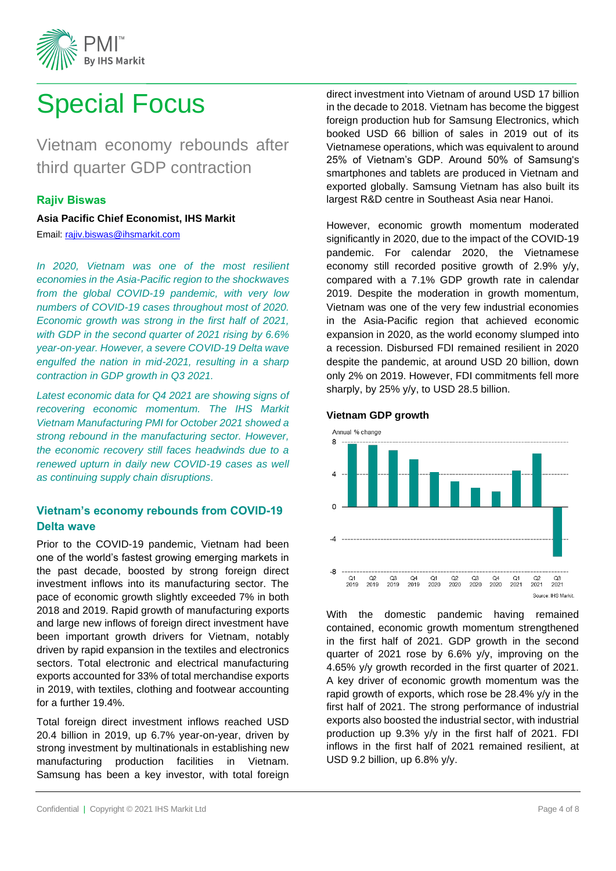

# <span id="page-3-0"></span>Special Focus

Vietnam economy rebounds after third quarter GDP contraction

#### **Rajiv Biswas**

**Asia Pacific Chief Economist, IHS Markit**  Email: [rajiv.biswas@ihsmarkit.com](mailto:rajiv.biswas@ihsmarkit.com)

*In 2020, Vietnam was one of the most resilient economies in the Asia-Pacific region to the shockwaves from the global COVID-19 pandemic, with very low numbers of COVID-19 cases throughout most of 2020. Economic growth was strong in the first half of 2021, with GDP in the second quarter of 2021 rising by 6.6% year-on-year. However, a severe COVID-19 Delta wave engulfed the nation in mid-2021, resulting in a sharp contraction in GDP growth in Q3 2021.*

*Latest economic data for Q4 2021 are showing signs of recovering economic momentum. The IHS Markit Vietnam Manufacturing PMI for October 2021 showed a strong rebound in the manufacturing sector. However, the economic recovery still faces headwinds due to a renewed upturn in daily new COVID-19 cases as well as continuing supply chain disruptions.*

#### **Vietnam's economy rebounds from COVID-19 Delta wave**

Prior to the COVID-19 pandemic, Vietnam had been one of the world's fastest growing emerging markets in the past decade, boosted by strong foreign direct investment inflows into its manufacturing sector. The pace of economic growth slightly exceeded 7% in both 2018 and 2019. Rapid growth of manufacturing exports and large new inflows of foreign direct investment have been important growth drivers for Vietnam, notably driven by rapid expansion in the textiles and electronics sectors. Total electronic and electrical manufacturing exports accounted for 33% of total merchandise exports in 2019, with textiles, clothing and footwear accounting for a further 19.4%.

Total foreign direct investment inflows reached USD 20.4 billion in 2019, up 6.7% year-on-year, driven by strong investment by multinationals in establishing new manufacturing production facilities in Vietnam. Samsung has been a key investor, with total foreign

direct investment into Vietnam of around USD 17 billion in the decade to 2018. Vietnam has become the biggest foreign production hub for Samsung Electronics, which booked USD 66 billion of sales in 2019 out of its Vietnamese operations, which was equivalent to around 25% of Vietnam's GDP. Around 50% of Samsung's smartphones and tablets are produced in Vietnam and exported globally. Samsung Vietnam has also built its largest R&D centre in Southeast Asia near Hanoi.

However, economic growth momentum moderated significantly in 2020, due to the impact of the COVID-19 pandemic. For calendar 2020, the Vietnamese economy still recorded positive growth of 2.9% y/y, compared with a 7.1% GDP growth rate in calendar 2019. Despite the moderation in growth momentum, Vietnam was one of the very few industrial economies in the Asia-Pacific region that achieved economic expansion in 2020, as the world economy slumped into a recession. Disbursed FDI remained resilient in 2020 despite the pandemic, at around USD 20 billion, down only 2% on 2019. However, FDI commitments fell more sharply, by 25% y/y, to USD 28.5 billion.

#### **Vietnam GDP growth**



With the domestic pandemic having remained contained, economic growth momentum strengthened in the first half of 2021. GDP growth in the second quarter of 2021 rose by 6.6% y/y, improving on the 4.65% y/y growth recorded in the first quarter of 2021. A key driver of economic growth momentum was the rapid growth of exports, which rose be 28.4% y/y in the first half of 2021. The strong performance of industrial exports also boosted the industrial sector, with industrial production up 9.3% y/y in the first half of 2021. FDI inflows in the first half of 2021 remained resilient, at USD 9.2 billion, up 6.8% y/y.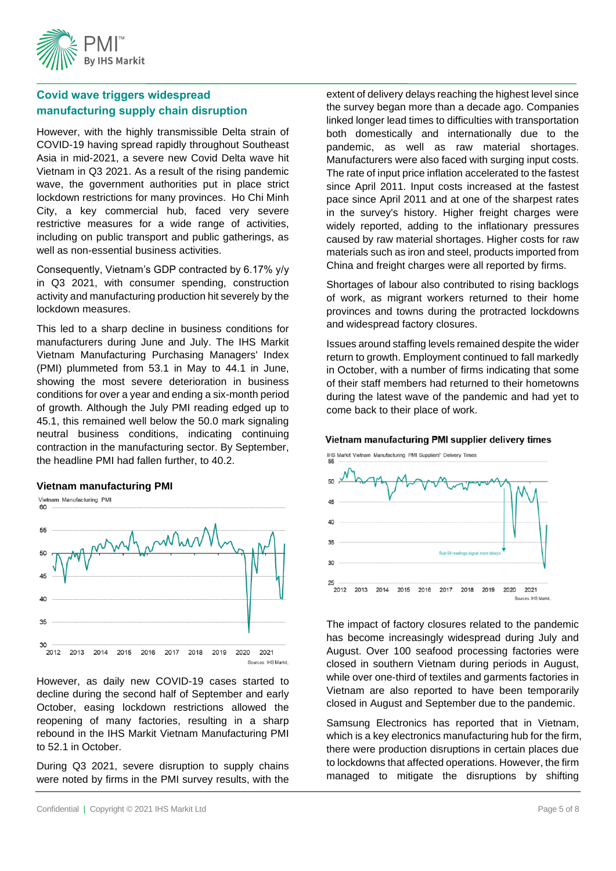

### **Covid wave triggers widespread manufacturing supply chain disruption**

However, with the highly transmissible Delta strain of COVID-19 having spread rapidly throughout Southeast Asia in mid-2021, a severe new Covid Delta wave hit Vietnam in Q3 2021. As a result of the rising pandemic wave, the government authorities put in place strict lockdown restrictions for many provinces. Ho Chi Minh City, a key commercial hub, faced very severe restrictive measures for a wide range of activities, including on public transport and public gatherings, as well as non-essential business activities.

Consequently, Vietnam's GDP contracted by 6.17% y/y in Q3 2021, with consumer spending, construction activity and manufacturing production hit severely by the lockdown measures.

This led to a sharp decline in business conditions for manufacturers during June and July. The IHS Markit Vietnam Manufacturing Purchasing Managers' Index (PMI) plummeted from 53.1 in May to 44.1 in June, showing the most severe deterioration in business conditions for over a year and ending a six-month period of growth. Although the July PMI reading edged up to 45.1, this remained well below the 50.0 mark signaling neutral business conditions, indicating continuing contraction in the manufacturing sector. By September, the headline PMI had fallen further, to 40.2.

#### **Vietnam manufacturing PMI**



However, as daily new COVID-19 cases started to decline during the second half of September and early October, easing lockdown restrictions allowed the reopening of many factories, resulting in a sharp rebound in the IHS Markit Vietnam Manufacturing PMI to 52.1 in October.

During Q3 2021, severe disruption to supply chains were noted by firms in the PMI survey results, with the extent of delivery delays reaching the highest level since the survey began more than a decade ago. Companies linked longer lead times to difficulties with transportation both domestically and internationally due to the pandemic, as well as raw material shortages. Manufacturers were also faced with surging input costs. The rate of input price inflation accelerated to the fastest since April 2011. Input costs increased at the fastest pace since April 2011 and at one of the sharpest rates in the survey's history. Higher freight charges were widely reported, adding to the inflationary pressures caused by raw material shortages. Higher costs for raw materials such as iron and steel, products imported from China and freight charges were all reported by firms.

Shortages of labour also contributed to rising backlogs of work, as migrant workers returned to their home provinces and towns during the protracted lockdowns and widespread factory closures.

Issues around staffing levels remained despite the wider return to growth. Employment continued to fall markedly in October, with a number of firms indicating that some of their staff members had returned to their hometowns during the latest wave of the pandemic and had yet to come back to their place of work.

#### Vietnam manufacturing PMI supplier delivery times



The impact of factory closures related to the pandemic has become increasingly widespread during July and August. Over 100 seafood processing factories were closed in southern Vietnam during periods in August, while over one-third of textiles and garments factories in Vietnam are also reported to have been temporarily closed in August and September due to the pandemic.

Samsung Electronics has reported that in Vietnam, which is a key electronics manufacturing hub for the firm, there were production disruptions in certain places due to lockdowns that affected operations. However, the firm managed to mitigate the disruptions by shifting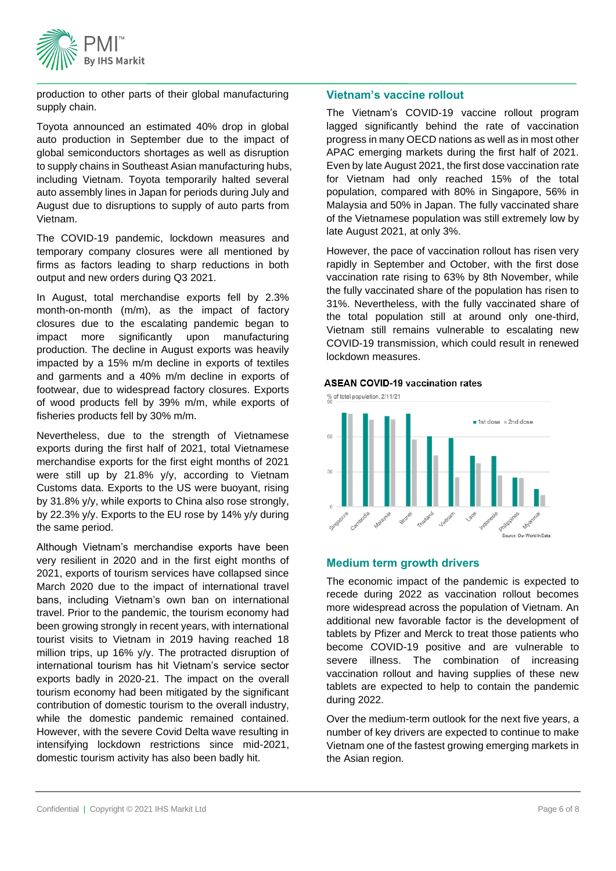

production to other parts of their global manufacturing supply chain.

Toyota announced an estimated 40% drop in global auto production in September due to the impact of global semiconductors shortages as well as disruption to supply chains in Southeast Asian manufacturing hubs, including Vietnam. Toyota temporarily halted several auto assembly lines in Japan for periods during July and August due to disruptions to supply of auto parts from Vietnam.

The COVID-19 pandemic, lockdown measures and temporary company closures were all mentioned by firms as factors leading to sharp reductions in both output and new orders during Q3 2021.

In August, total merchandise exports fell by 2.3% month-on-month (m/m), as the impact of factory closures due to the escalating pandemic began to impact more significantly upon manufacturing production. The decline in August exports was heavily impacted by a 15% m/m decline in exports of textiles and garments and a 40% m/m decline in exports of footwear, due to widespread factory closures. Exports of wood products fell by 39% m/m, while exports of fisheries products fell by 30% m/m.

Nevertheless, due to the strength of Vietnamese exports during the first half of 2021, total Vietnamese merchandise exports for the first eight months of 2021 were still up by 21.8% y/y, according to Vietnam Customs data. Exports to the US were buoyant, rising by 31.8% y/y, while exports to China also rose strongly, by 22.3% y/y. Exports to the EU rose by 14% y/y during the same period.

Although Vietnam's merchandise exports have been very resilient in 2020 and in the first eight months of 2021, exports of tourism services have collapsed since March 2020 due to the impact of international travel bans, including Vietnam's own ban on international travel. Prior to the pandemic, the tourism economy had been growing strongly in recent years, with international tourist visits to Vietnam in 2019 having reached 18 million trips, up 16% y/y. The protracted disruption of international tourism has hit Vietnam's service sector exports badly in 2020-21. The impact on the overall tourism economy had been mitigated by the significant contribution of domestic tourism to the overall industry, while the domestic pandemic remained contained. However, with the severe Covid Delta wave resulting in intensifying lockdown restrictions since mid-2021, domestic tourism activity has also been badly hit.

#### **Vietnam's vaccine rollout**

The Vietnam's COVID-19 vaccine rollout program lagged significantly behind the rate of vaccination progress in many OECD nations as well as in most other APAC emerging markets during the first half of 2021. Even by late August 2021, the first dose vaccination rate for Vietnam had only reached 15% of the total population, compared with 80% in Singapore, 56% in Malaysia and 50% in Japan. The fully vaccinated share of the Vietnamese population was still extremely low by late August 2021, at only 3%.

However, the pace of vaccination rollout has risen very rapidly in September and October, with the first dose vaccination rate rising to 63% by 8th November, while the fully vaccinated share of the population has risen to 31%. Nevertheless, with the fully vaccinated share of the total population still at around only one-third, Vietnam still remains vulnerable to escalating new COVID-19 transmission, which could result in renewed lockdown measures.

#### **ASEAN COVID-19 vaccination rates**



#### **Medium term growth drivers**

The economic impact of the pandemic is expected to recede during 2022 as vaccination rollout becomes more widespread across the population of Vietnam. An additional new favorable factor is the development of tablets by Pfizer and Merck to treat those patients who become COVID-19 positive and are vulnerable to severe illness. The combination of increasing vaccination rollout and having supplies of these new tablets are expected to help to contain the pandemic during 2022.

Over the medium-term outlook for the next five years, a number of key drivers are expected to continue to make Vietnam one of the fastest growing emerging markets in the Asian region.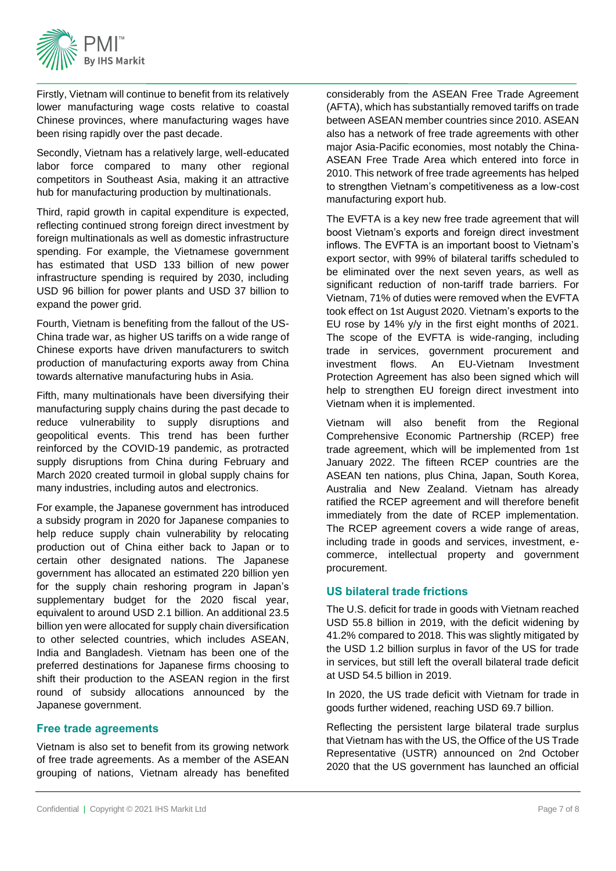

Firstly, Vietnam will continue to benefit from its relatively lower manufacturing wage costs relative to coastal Chinese provinces, where manufacturing wages have been rising rapidly over the past decade.

Secondly, Vietnam has a relatively large, well-educated labor force compared to many other regional competitors in Southeast Asia, making it an attractive hub for manufacturing production by multinationals.

Third, rapid growth in capital expenditure is expected, reflecting continued strong foreign direct investment by foreign multinationals as well as domestic infrastructure spending. For example, the Vietnamese government has estimated that USD 133 billion of new power infrastructure spending is required by 2030, including USD 96 billion for power plants and USD 37 billion to expand the power grid.

Fourth, Vietnam is benefiting from the fallout of the US-China trade war, as higher US tariffs on a wide range of Chinese exports have driven manufacturers to switch production of manufacturing exports away from China towards alternative manufacturing hubs in Asia.

Fifth, many multinationals have been diversifying their manufacturing supply chains during the past decade to reduce vulnerability to supply disruptions and geopolitical events. This trend has been further reinforced by the COVID-19 pandemic, as protracted supply disruptions from China during February and March 2020 created turmoil in global supply chains for many industries, including autos and electronics.

For example, the Japanese government has introduced a subsidy program in 2020 for Japanese companies to help reduce supply chain vulnerability by relocating production out of China either back to Japan or to certain other designated nations. The Japanese government has allocated an estimated 220 billion yen for the supply chain reshoring program in Japan's supplementary budget for the 2020 fiscal year, equivalent to around USD 2.1 billion. An additional 23.5 billion yen were allocated for supply chain diversification to other selected countries, which includes ASEAN, India and Bangladesh. Vietnam has been one of the preferred destinations for Japanese firms choosing to shift their production to the ASEAN region in the first round of subsidy allocations announced by the Japanese government.

#### **Free trade agreements**

Vietnam is also set to benefit from its growing network of free trade agreements. As a member of the ASEAN grouping of nations, Vietnam already has benefited considerably from the ASEAN Free Trade Agreement (AFTA), which has substantially removed tariffs on trade between ASEAN member countries since 2010. ASEAN also has a network of free trade agreements with other major Asia-Pacific economies, most notably the China-ASEAN Free Trade Area which entered into force in 2010. This network of free trade agreements has helped to strengthen Vietnam's competitiveness as a low-cost manufacturing export hub.

The EVFTA is a key new free trade agreement that will boost Vietnam's exports and foreign direct investment inflows. The EVFTA is an important boost to Vietnam's export sector, with 99% of bilateral tariffs scheduled to be eliminated over the next seven years, as well as significant reduction of non-tariff trade barriers. For Vietnam, 71% of duties were removed when the EVFTA took effect on 1st August 2020. Vietnam's exports to the EU rose by 14% y/y in the first eight months of 2021. The scope of the EVFTA is wide-ranging, including trade in services, government procurement and investment flows. An EU-Vietnam Investment Protection Agreement has also been signed which will help to strengthen EU foreign direct investment into Vietnam when it is implemented.

Vietnam will also benefit from the Regional Comprehensive Economic Partnership (RCEP) free trade agreement, which will be implemented from 1st January 2022. The fifteen RCEP countries are the ASEAN ten nations, plus China, Japan, South Korea, Australia and New Zealand. Vietnam has already ratified the RCEP agreement and will therefore benefit immediately from the date of RCEP implementation. The RCEP agreement covers a wide range of areas, including trade in goods and services, investment, ecommerce, intellectual property and government procurement.

#### **US bilateral trade frictions**

The U.S. deficit for trade in goods with Vietnam reached USD 55.8 billion in 2019, with the deficit widening by 41.2% compared to 2018. This was slightly mitigated by the USD 1.2 billion surplus in favor of the US for trade in services, but still left the overall bilateral trade deficit at USD 54.5 billion in 2019.

In 2020, the US trade deficit with Vietnam for trade in goods further widened, reaching USD 69.7 billion.

Reflecting the persistent large bilateral trade surplus that Vietnam has with the US, the Office of the US Trade Representative (USTR) announced on 2nd October 2020 that the US government has launched an official